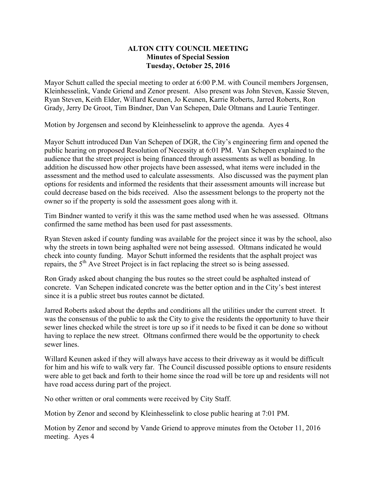## **ALTON CITY COUNCIL MEETING Minutes of Special Session Tuesday, October 25, 2016**

Mayor Schutt called the special meeting to order at 6:00 P.M. with Council members Jorgensen, Kleinhesselink, Vande Griend and Zenor present. Also present was John Steven, Kassie Steven, Ryan Steven, Keith Elder, Willard Keunen, Jo Keunen, Karrie Roberts, Jarred Roberts, Ron Grady, Jerry De Groot, Tim Bindner, Dan Van Schepen, Dale Oltmans and Laurie Tentinger.

Motion by Jorgensen and second by Kleinhesselink to approve the agenda. Ayes 4

Mayor Schutt introduced Dan Van Schepen of DGR, the City's engineering firm and opened the public hearing on proposed Resolution of Necessity at 6:01 PM. Van Schepen explained to the audience that the street project is being financed through assessments as well as bonding. In addition he discussed how other projects have been assessed, what items were included in the assessment and the method used to calculate assessments. Also discussed was the payment plan options for residents and informed the residents that their assessment amounts will increase but could decrease based on the bids received. Also the assessment belongs to the property not the owner so if the property is sold the assessment goes along with it.

Tim Bindner wanted to verify it this was the same method used when he was assessed. Oltmans confirmed the same method has been used for past assessments.

Ryan Steven asked if county funding was available for the project since it was by the school, also why the streets in town being asphalted were not being assessed. Oltmans indicated he would check into county funding. Mayor Schutt informed the residents that the asphalt project was repairs, the 5<sup>th</sup> Ave Street Project is in fact replacing the street so is being assessed.

Ron Grady asked about changing the bus routes so the street could be asphalted instead of concrete. Van Schepen indicated concrete was the better option and in the City's best interest since it is a public street bus routes cannot be dictated.

Jarred Roberts asked about the depths and conditions all the utilities under the current street. It was the consensus of the public to ask the City to give the residents the opportunity to have their sewer lines checked while the street is tore up so if it needs to be fixed it can be done so without having to replace the new street. Oltmans confirmed there would be the opportunity to check sewer lines.

Willard Keunen asked if they will always have access to their driveway as it would be difficult for him and his wife to walk very far. The Council discussed possible options to ensure residents were able to get back and forth to their home since the road will be tore up and residents will not have road access during part of the project.

No other written or oral comments were received by City Staff.

Motion by Zenor and second by Kleinhesselink to close public hearing at 7:01 PM.

Motion by Zenor and second by Vande Griend to approve minutes from the October 11, 2016 meeting. Ayes 4